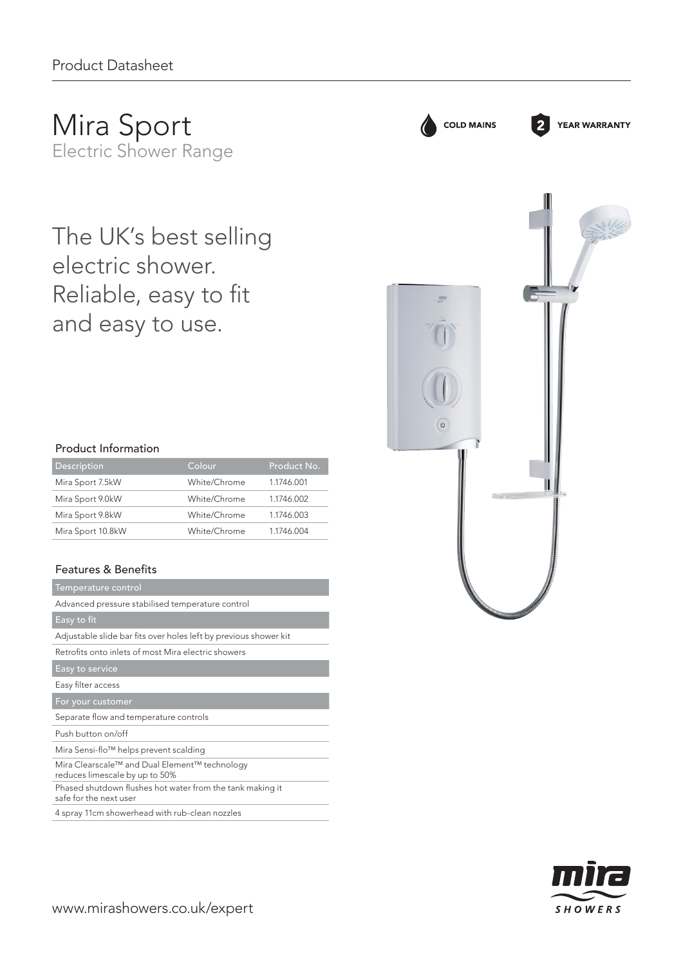